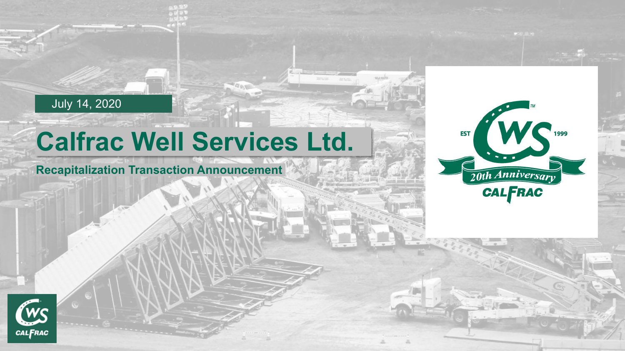#### July 14, 2020

# **Calfrac Well Services Ltd.**

#### **Recapitalization Transaction Announcement**



Wue epith

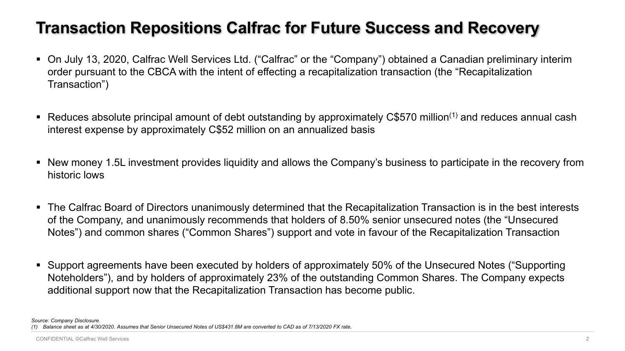#### **Transaction Repositions Calfrac for Future Success and Recovery**

- On July 13, 2020, Calfrac Well Services Ltd. ("Calfrac" or the "Company") obtained a Canadian preliminary interim order pursuant to the CBCA with the intent of effecting a recapitalization transaction (the "Recapitalization Transaction")
- Reduces absolute principal amount of debt outstanding by approximately C\$570 million(1) and reduces annual cash interest expense by approximately C\$52 million on an annualized basis
- New money 1.5L investment provides liquidity and allows the Company's business to participate in the recovery from historic lows
- The Calfrac Board of Directors unanimously determined that the Recapitalization Transaction is in the best interests of the Company, and unanimously recommends that holders of 8.50% senior unsecured notes (the "Unsecured Notes") and common shares ("Common Shares") support and vote in favour of the Recapitalization Transaction
- Support agreements have been executed by holders of approximately 50% of the Unsecured Notes ("Supporting Noteholders"), and by holders of approximately 23% of the outstanding Common Shares. The Company expects additional support now that the Recapitalization Transaction has become public.

*Source: Company Disclosure. (1) Balance sheet as at 4/30/2020. Assumes that Senior Unsecured Notes of US\$431.8M are converted to CAD as of 7/13/2020 FX rate.*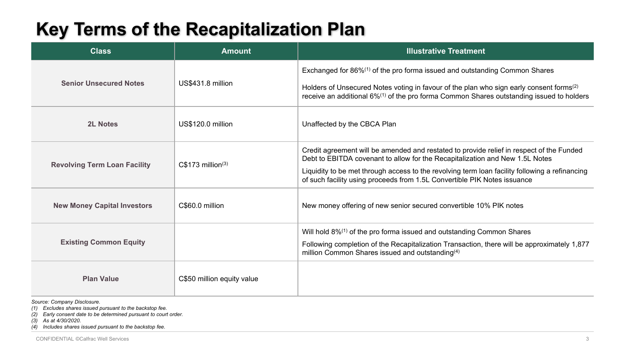# **Key Terms of the Recapitalization Plan**

| <b>Class</b>                        | <b>Amount</b>                 | <b>Illustrative Treatment</b>                                                                                                                                                                                                                                                                                                                          |
|-------------------------------------|-------------------------------|--------------------------------------------------------------------------------------------------------------------------------------------------------------------------------------------------------------------------------------------------------------------------------------------------------------------------------------------------------|
| <b>Senior Unsecured Notes</b>       | US\$431.8 million             | Exchanged for 86% <sup>(1)</sup> of the pro forma issued and outstanding Common Shares<br>Holders of Unsecured Notes voting in favour of the plan who sign early consent forms <sup>(2)</sup><br>receive an additional 6% <sup>(1)</sup> of the pro forma Common Shares outstanding issued to holders                                                  |
| <b>2L Notes</b>                     | US\$120.0 million             | Unaffected by the CBCA Plan                                                                                                                                                                                                                                                                                                                            |
| <b>Revolving Term Loan Facility</b> | C\$173 million <sup>(3)</sup> | Credit agreement will be amended and restated to provide relief in respect of the Funded<br>Debt to EBITDA covenant to allow for the Recapitalization and New 1.5L Notes<br>Liquidity to be met through access to the revolving term loan facility following a refinancing<br>of such facility using proceeds from 1.5L Convertible PIK Notes issuance |
| <b>New Money Capital Investors</b>  | C\$60.0 million               | New money offering of new senior secured convertible 10% PIK notes                                                                                                                                                                                                                                                                                     |
| <b>Existing Common Equity</b>       |                               | Will hold 8% <sup>(1)</sup> of the pro forma issued and outstanding Common Shares<br>Following completion of the Recapitalization Transaction, there will be approximately 1,877<br>million Common Shares issued and outstanding <sup>(4)</sup>                                                                                                        |
| <b>Plan Value</b>                   | C\$50 million equity value    |                                                                                                                                                                                                                                                                                                                                                        |

*Source: Company Disclosure.*

*(1) Excludes shares issued pursuant to the backstop fee.* 

*(2) Early consent date to be determined pursuant to court order.* 

*(3) As at 4/30/2020.*

*(4) Includes shares issued pursuant to the backstop fee.*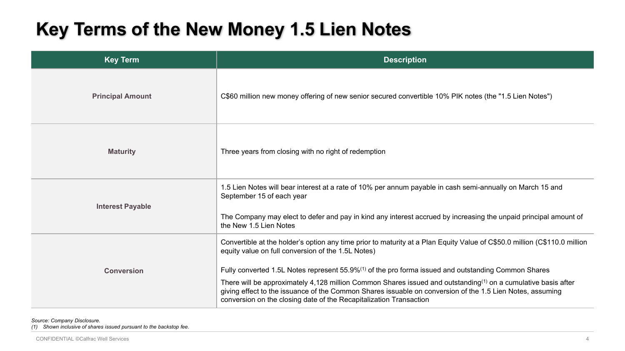# **Key Terms of the New Money 1.5 Lien Notes**

| <b>Key Term</b>         | <b>Description</b>                                                                                                                                                                                                                                                                                                                                                                                                                                                                                                                                                                                                 |
|-------------------------|--------------------------------------------------------------------------------------------------------------------------------------------------------------------------------------------------------------------------------------------------------------------------------------------------------------------------------------------------------------------------------------------------------------------------------------------------------------------------------------------------------------------------------------------------------------------------------------------------------------------|
| <b>Principal Amount</b> | C\$60 million new money offering of new senior secured convertible 10% PIK notes (the "1.5 Lien Notes")                                                                                                                                                                                                                                                                                                                                                                                                                                                                                                            |
| <b>Maturity</b>         | Three years from closing with no right of redemption                                                                                                                                                                                                                                                                                                                                                                                                                                                                                                                                                               |
| <b>Interest Payable</b> | 1.5 Lien Notes will bear interest at a rate of 10% per annum payable in cash semi-annually on March 15 and<br>September 15 of each year<br>The Company may elect to defer and pay in kind any interest accrued by increasing the unpaid principal amount of<br>the New 1.5 Lien Notes                                                                                                                                                                                                                                                                                                                              |
| <b>Conversion</b>       | Convertible at the holder's option any time prior to maturity at a Plan Equity Value of C\$50.0 million (C\$110.0 million<br>equity value on full conversion of the 1.5L Notes)<br>Fully converted 1.5L Notes represent 55.9% <sup>(1)</sup> of the pro forma issued and outstanding Common Shares<br>There will be approximately 4,128 million Common Shares issued and outstanding <sup>(1)</sup> on a cumulative basis after<br>giving effect to the issuance of the Common Shares issuable on conversion of the 1.5 Lien Notes, assuming<br>conversion on the closing date of the Recapitalization Transaction |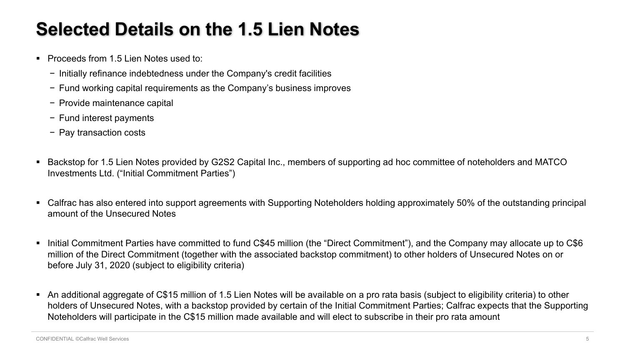# **Selected Details on the 1.5 Lien Notes**

- Proceeds from 1.5 Lien Notes used to:
	- − Initially refinance indebtedness under the Company's credit facilities
	- − Fund working capital requirements as the Company's business improves
	- − Provide maintenance capital
	- − Fund interest payments
	- − Pay transaction costs
- Backstop for 1.5 Lien Notes provided by G2S2 Capital Inc., members of supporting ad hoc committee of noteholders and MATCO Investments Ltd. ("Initial Commitment Parties")
- Calfrac has also entered into support agreements with Supporting Noteholders holding approximately 50% of the outstanding principal amount of the Unsecured Notes
- Initial Commitment Parties have committed to fund C\$45 million (the "Direct Commitment"), and the Company may allocate up to C\$6 million of the Direct Commitment (together with the associated backstop commitment) to other holders of Unsecured Notes on or before July 31, 2020 (subject to eligibility criteria)
- An additional aggregate of C\$15 million of 1.5 Lien Notes will be available on a pro rata basis (subject to eligibility criteria) to other holders of Unsecured Notes, with a backstop provided by certain of the Initial Commitment Parties; Calfrac expects that the Supporting Noteholders will participate in the C\$15 million made available and will elect to subscribe in their pro rata amount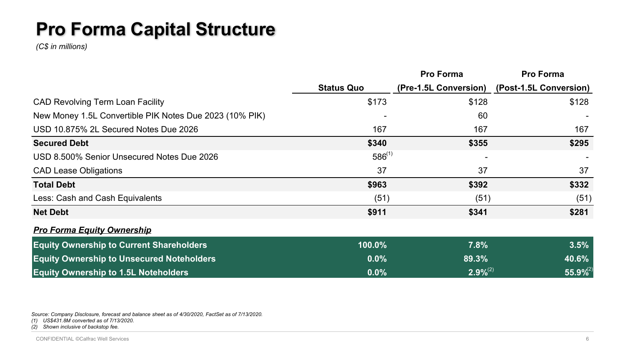# **Pro Forma Capital Structure**

*(C\$ in millions)*

|                                                         |                   | <b>Pro Forma</b>      | <b>Pro Forma</b>       |
|---------------------------------------------------------|-------------------|-----------------------|------------------------|
|                                                         | <b>Status Quo</b> | (Pre-1.5L Conversion) | (Post-1.5L Conversion) |
| <b>CAD Revolving Term Loan Facility</b>                 | \$173             | \$128                 | \$128                  |
| New Money 1.5L Convertible PIK Notes Due 2023 (10% PIK) |                   | 60                    |                        |
| USD 10.875% 2L Secured Notes Due 2026                   | 167               | 167                   | 167                    |
| <b>Secured Debt</b>                                     | \$340             | \$355                 | \$295                  |
| USD 8.500% Senior Unsecured Notes Due 2026              | $586^{(1)}$       |                       |                        |
| <b>CAD Lease Obligations</b>                            | 37                | 37                    | 37                     |
| <b>Total Debt</b>                                       | \$963             | \$392                 | \$332                  |
| Less: Cash and Cash Equivalents                         | (51)              | (51)                  | (51)                   |
| <b>Net Debt</b>                                         | \$911             | \$341                 | \$281                  |
| <b>Pro Forma Equity Ownership</b>                       |                   |                       |                        |
| <b>Equity Ownership to Current Shareholders</b>         | 100.0%            | 7.8%                  | 3.5%                   |
| <b>Equity Ownership to Unsecured Noteholders</b>        | $0.0\%$           | 89.3%                 | 40.6%                  |
| <b>Equity Ownership to 1.5L Noteholders</b>             | $0.0\%$           | $2.9\%^{(2)}$         | $55.9\%^{(2)}$         |

*Source: Company Disclosure, forecast and balance sheet as of 4/30/2020, FactSet as of 7/13/2020.*

*(1) US\$431.8M converted as of 7/13/2020.*

*(2) Shown inclusive of backstop fee.*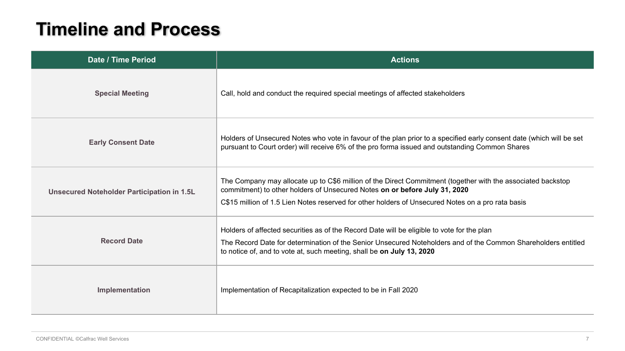#### **Timeline and Process**

| Date / Time Period                         | <b>Actions</b>                                                                                                                                                                                                                                                                                 |  |
|--------------------------------------------|------------------------------------------------------------------------------------------------------------------------------------------------------------------------------------------------------------------------------------------------------------------------------------------------|--|
| <b>Special Meeting</b>                     | Call, hold and conduct the required special meetings of affected stakeholders                                                                                                                                                                                                                  |  |
| <b>Early Consent Date</b>                  | Holders of Unsecured Notes who vote in favour of the plan prior to a specified early consent date (which will be set<br>pursuant to Court order) will receive 6% of the pro forma issued and outstanding Common Shares                                                                         |  |
| Unsecured Noteholder Participation in 1.5L | The Company may allocate up to C\$6 million of the Direct Commitment (together with the associated backstop<br>commitment) to other holders of Unsecured Notes on or before July 31, 2020<br>C\$15 million of 1.5 Lien Notes reserved for other holders of Unsecured Notes on a pro rata basis |  |
| <b>Record Date</b>                         | Holders of affected securities as of the Record Date will be eligible to vote for the plan<br>The Record Date for determination of the Senior Unsecured Noteholders and of the Common Shareholders entitled<br>to notice of, and to vote at, such meeting, shall be on July 13, 2020           |  |
| Implementation                             | Implementation of Recapitalization expected to be in Fall 2020                                                                                                                                                                                                                                 |  |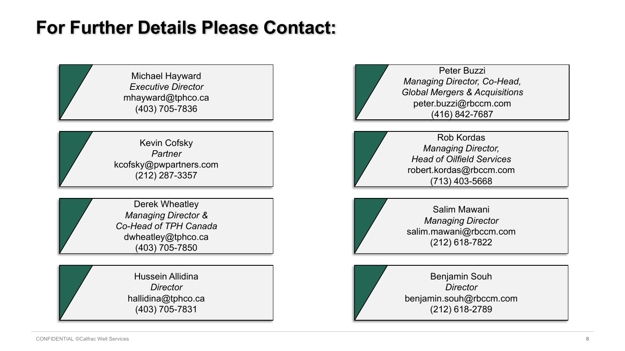#### **For Further Details Please Contact:**

Michael Hayward *Executive Director* mhayward@tphco.ca (403) 705-7836

Kevin Cofsky *Partner* kcofsky@pwpartners.com (212) 287-3357

Derek Wheatley *Managing Director & Co-Head of TPH Canada* dwheatley@tphco.ca (403) 705-7850

> Hussein Allidina *Director* hallidina@tphco.ca (403) 705-7831

Peter Buzzi *Managing Director, Co-Head, Global Mergers & Acquisitions* peter.buzzi@rbccm.com (416) 842-7687

Rob Kordas *Managing Director, Head of Oilfield Services* robert.kordas@rbccm.com (713) 403-5668

Salim Mawani *Managing Director* salim.mawani@rbccm.com (212) 618-7822